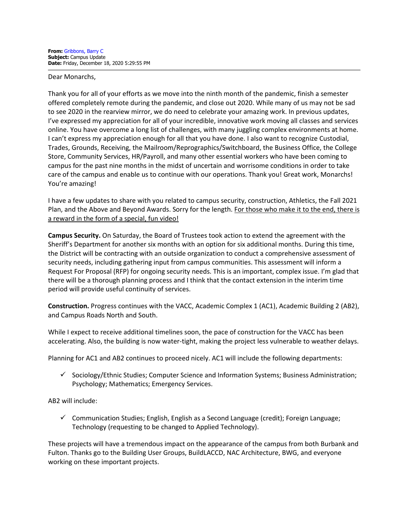Dear Monarchs,

Thank you for all of your efforts as we move into the ninth month of the pandemic, finish a semester offered completely remote during the pandemic, and close out 2020. While many of us may not be sad to see 2020 in the rearview mirror, we do need to celebrate your amazing work. In previous updates, I've expressed my appreciation for all of your incredible, innovative work moving all classes and services online. You have overcome a long list of challenges, with many juggling complex environments at home. I can't express my appreciation enough for all that you have done. I also want to recognize Custodial, Trades, Grounds, Receiving, the Mailroom/Reprographics/Switchboard, the Business Office, the College Store, Community Services, HR/Payroll, and many other essential workers who have been coming to campus for the past nine months in the midst of uncertain and worrisome conditions in order to take care of the campus and enable us to continue with our operations. Thank you! Great work, Monarchs! You're amazing!

I have a few updates to share with you related to campus security, construction, Athletics, the Fall 2021 Plan, and the Above and Beyond Awards. Sorry for the length. For those who make it to the end, there is a reward in the form of a special, fun video!

**Campus Security.** On Saturday, the Board of Trustees took action to extend the agreement with the Sheriff's Department for another six months with an option for six additional months. During this time, the District will be contracting with an outside organization to conduct a comprehensive assessment of security needs, including gathering input from campus communities. This assessment will inform a Request For Proposal (RFP) for ongoing security needs. This is an important, complex issue. I'm glad that there will be a thorough planning process and I think that the contact extension in the interim time period will provide useful continuity of services.

**Construction.** Progress continues with the VACC, Academic Complex 1 (AC1), Academic Building 2 (AB2), and Campus Roads North and South.

While I expect to receive additional timelines soon, the pace of construction for the VACC has been accelerating. Also, the building is now water-tight, making the project less vulnerable to weather delays.

Planning for AC1 and AB2 continues to proceed nicely. AC1 will include the following departments:

 $\checkmark$  Sociology/Ethnic Studies; Computer Science and Information Systems; Business Administration; Psychology; Mathematics; Emergency Services.

AB2 will include:

 $\checkmark$  Communication Studies; English, English as a Second Language (credit); Foreign Language; Technology (requesting to be changed to Applied Technology).

These projects will have a tremendous impact on the appearance of the campus from both Burbank and Fulton. Thanks go to the Building User Groups, BuildLACCD, NAC Architecture, BWG, and everyone working on these important projects.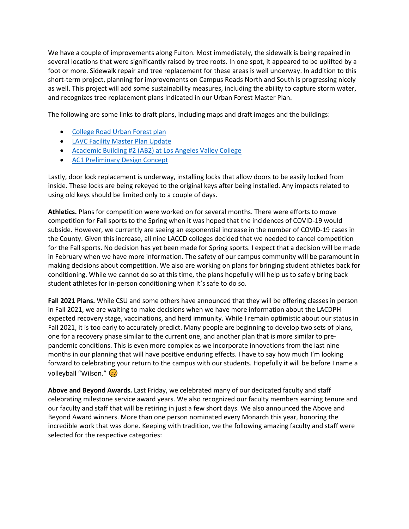We have a couple of improvements along Fulton. Most immediately, the sidewalk is being repaired in several locations that were significantly raised by tree roots. In one spot, it appeared to be uplifted by a foot or more. Sidewalk repair and tree replacement for these areas is well underway. In addition to this short-term project, planning for improvements on Campus Roads North and South is progressing nicely as well. This project will add some sustainability measures, including the ability to capture storm water, and recognizes tree replacement plans indicated in our Urban Forest Master Plan.

The following are some links to draft plans, including maps and draft images and the buildings:

- [College Road Urban Forest plan](https://lavc.edu/presidentsoffice/library/docs/Construction-Resources/2020-1214_LAVC-College-Road-CSM-Mtg-12-16-20.pdf)
- [LAVC Facility Master Plan Update](https://lavc.edu/presidentsoffice/library/docs/Construction-Resources/01222020-FMPOC-LAVC-Master-Plan-Update-Presentatio.ppt)
- [Academic Building #2 \(AB2\) at Los Angeles Valley College](https://lavc.edu/presidentsoffice/library/docs/Construction-Resources/11182020_LAVC-AB2-Project-SD-presentation.pdf)
- [AC1 Preliminary Design Concept](https://lavc.edu/presidentsoffice/library/docs/Construction-Resources/Pages-from-AC1_PPC_Full-Final-10-05-20-4.pdf)

Lastly, door lock replacement is underway, installing locks that allow doors to be easily locked from inside. These locks are being rekeyed to the original keys after being installed. Any impacts related to using old keys should be limited only to a couple of days.

**Athletics.** Plans for competition were worked on for several months. There were efforts to move competition for Fall sports to the Spring when it was hoped that the incidences of COVID-19 would subside. However, we currently are seeing an exponential increase in the number of COVID-19 cases in the County. Given this increase, all nine LACCD colleges decided that we needed to cancel competition for the Fall sports. No decision has yet been made for Spring sports. I expect that a decision will be made in February when we have more information. The safety of our campus community will be paramount in making decisions about competition. We also are working on plans for bringing student athletes back for conditioning. While we cannot do so at this time, the plans hopefully will help us to safely bring back student athletes for in-person conditioning when it's safe to do so.

**Fall 2021 Plans.** While CSU and some others have announced that they will be offering classes in person in Fall 2021, we are waiting to make decisions when we have more information about the LACDPH expected recovery stage, vaccinations, and herd immunity. While I remain optimistic about our status in Fall 2021, it is too early to accurately predict. Many people are beginning to develop two sets of plans, one for a recovery phase similar to the current one, and another plan that is more similar to prepandemic conditions. This is even more complex as we incorporate innovations from the last nine months in our planning that will have positive enduring effects. I have to say how much I'm looking forward to celebrating your return to the campus with our students. Hopefully it will be before I name a volleyball "Wilson."  $\odot$ 

**Above and Beyond Awards.** Last Friday, we celebrated many of our dedicated faculty and staff celebrating milestone service award years. We also recognized our faculty members earning tenure and our faculty and staff that will be retiring in just a few short days. We also announced the Above and Beyond Award winners. More than one person nominated every Monarch this year, honoring the incredible work that was done. Keeping with tradition, we the following amazing faculty and staff were selected for the respective categories: